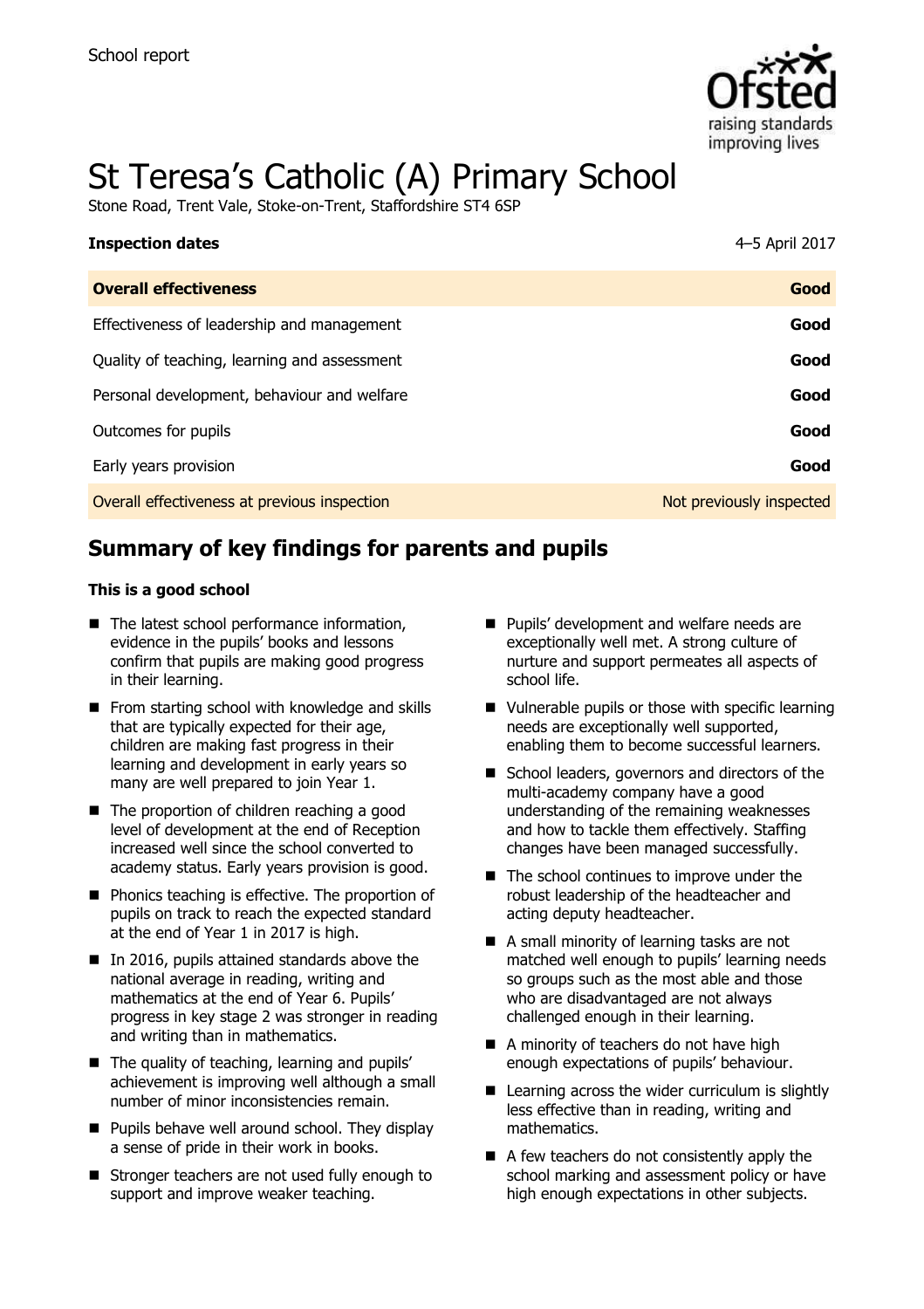

# St Teresa's Catholic (A) Primary School

Stone Road, Trent Vale, Stoke-on-Trent, Staffordshire ST4 6SP

| <b>Inspection dates</b>                      | 4-5 April 2017           |
|----------------------------------------------|--------------------------|
| <b>Overall effectiveness</b>                 | Good                     |
| Effectiveness of leadership and management   | Good                     |
| Quality of teaching, learning and assessment | Good                     |
| Personal development, behaviour and welfare  | Good                     |
| Outcomes for pupils                          | Good                     |
| Early years provision                        | Good                     |
| Overall effectiveness at previous inspection | Not previously inspected |

# **Summary of key findings for parents and pupils**

#### **This is a good school**

- $\blacksquare$  The latest school performance information, evidence in the pupils' books and lessons confirm that pupils are making good progress in their learning.
- $\blacksquare$  From starting school with knowledge and skills that are typically expected for their age, children are making fast progress in their learning and development in early years so many are well prepared to join Year 1.
- The proportion of children reaching a good level of development at the end of Reception increased well since the school converted to academy status. Early years provision is good.
- **Phonics teaching is effective. The proportion of** pupils on track to reach the expected standard at the end of Year 1 in 2017 is high.
- In 2016, pupils attained standards above the national average in reading, writing and mathematics at the end of Year 6. Pupils' progress in key stage 2 was stronger in reading and writing than in mathematics.
- The quality of teaching, learning and pupils' achievement is improving well although a small number of minor inconsistencies remain.
- $\blacksquare$  Pupils behave well around school. They display a sense of pride in their work in books.
- Stronger teachers are not used fully enough to support and improve weaker teaching.
- **Pupils' development and welfare needs are** exceptionally well met. A strong culture of nurture and support permeates all aspects of school life.
- Vulnerable pupils or those with specific learning needs are exceptionally well supported, enabling them to become successful learners.
- School leaders, governors and directors of the multi-academy company have a good understanding of the remaining weaknesses and how to tackle them effectively. Staffing changes have been managed successfully.
- $\blacksquare$  The school continues to improve under the robust leadership of the headteacher and acting deputy headteacher.
- A small minority of learning tasks are not matched well enough to pupils' learning needs so groups such as the most able and those who are disadvantaged are not always challenged enough in their learning.
- A minority of teachers do not have high enough expectations of pupils' behaviour.
- Learning across the wider curriculum is slightly less effective than in reading, writing and mathematics.
- $\blacksquare$  A few teachers do not consistently apply the school marking and assessment policy or have high enough expectations in other subjects.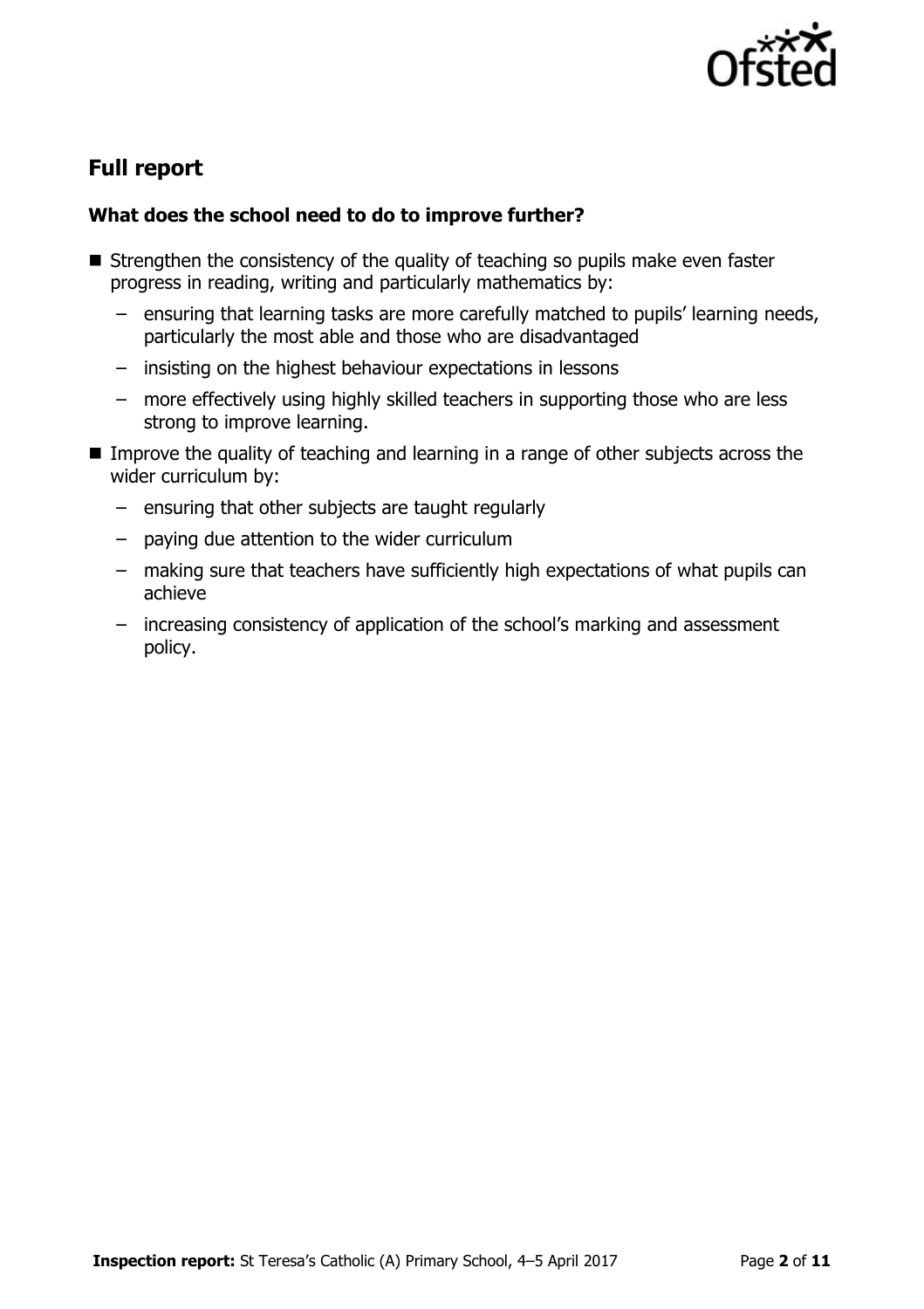

# **Full report**

### **What does the school need to do to improve further?**

- Strengthen the consistency of the quality of teaching so pupils make even faster progress in reading, writing and particularly mathematics by:
	- ensuring that learning tasks are more carefully matched to pupils' learning needs, particularly the most able and those who are disadvantaged
	- insisting on the highest behaviour expectations in lessons
	- more effectively using highly skilled teachers in supporting those who are less strong to improve learning.
- Improve the quality of teaching and learning in a range of other subjects across the wider curriculum by:
	- ensuring that other subjects are taught regularly
	- paying due attention to the wider curriculum
	- making sure that teachers have sufficiently high expectations of what pupils can achieve
	- increasing consistency of application of the school's marking and assessment policy.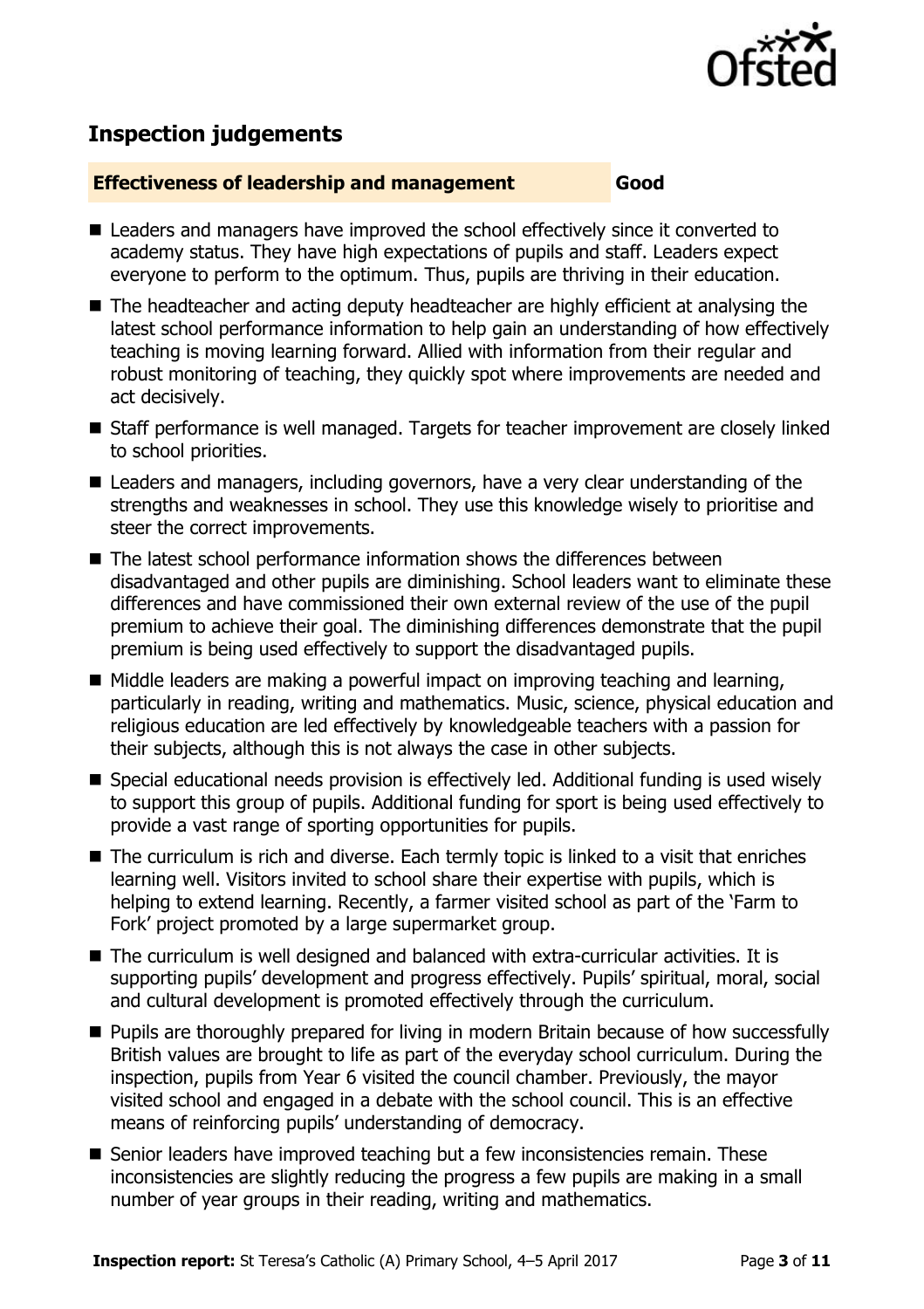

# **Inspection judgements**

#### **Effectiveness of leadership and management Good**

- Leaders and managers have improved the school effectively since it converted to academy status. They have high expectations of pupils and staff. Leaders expect everyone to perform to the optimum. Thus, pupils are thriving in their education.
- The headteacher and acting deputy headteacher are highly efficient at analysing the latest school performance information to help gain an understanding of how effectively teaching is moving learning forward. Allied with information from their regular and robust monitoring of teaching, they quickly spot where improvements are needed and act decisively.
- Staff performance is well managed. Targets for teacher improvement are closely linked to school priorities.
- Leaders and managers, including governors, have a very clear understanding of the strengths and weaknesses in school. They use this knowledge wisely to prioritise and steer the correct improvements.
- The latest school performance information shows the differences between disadvantaged and other pupils are diminishing. School leaders want to eliminate these differences and have commissioned their own external review of the use of the pupil premium to achieve their goal. The diminishing differences demonstrate that the pupil premium is being used effectively to support the disadvantaged pupils.
- $\blacksquare$  Middle leaders are making a powerful impact on improving teaching and learning, particularly in reading, writing and mathematics. Music, science, physical education and religious education are led effectively by knowledgeable teachers with a passion for their subjects, although this is not always the case in other subjects.
- Special educational needs provision is effectively led. Additional funding is used wisely to support this group of pupils. Additional funding for sport is being used effectively to provide a vast range of sporting opportunities for pupils.
- The curriculum is rich and diverse. Each termly topic is linked to a visit that enriches learning well. Visitors invited to school share their expertise with pupils, which is helping to extend learning. Recently, a farmer visited school as part of the 'Farm to Fork' project promoted by a large supermarket group.
- The curriculum is well designed and balanced with extra-curricular activities. It is supporting pupils' development and progress effectively. Pupils' spiritual, moral, social and cultural development is promoted effectively through the curriculum.
- **Pupils are thoroughly prepared for living in modern Britain because of how successfully** British values are brought to life as part of the everyday school curriculum. During the inspection, pupils from Year 6 visited the council chamber. Previously, the mayor visited school and engaged in a debate with the school council. This is an effective means of reinforcing pupils' understanding of democracy.
- Senior leaders have improved teaching but a few inconsistencies remain. These inconsistencies are slightly reducing the progress a few pupils are making in a small number of year groups in their reading, writing and mathematics.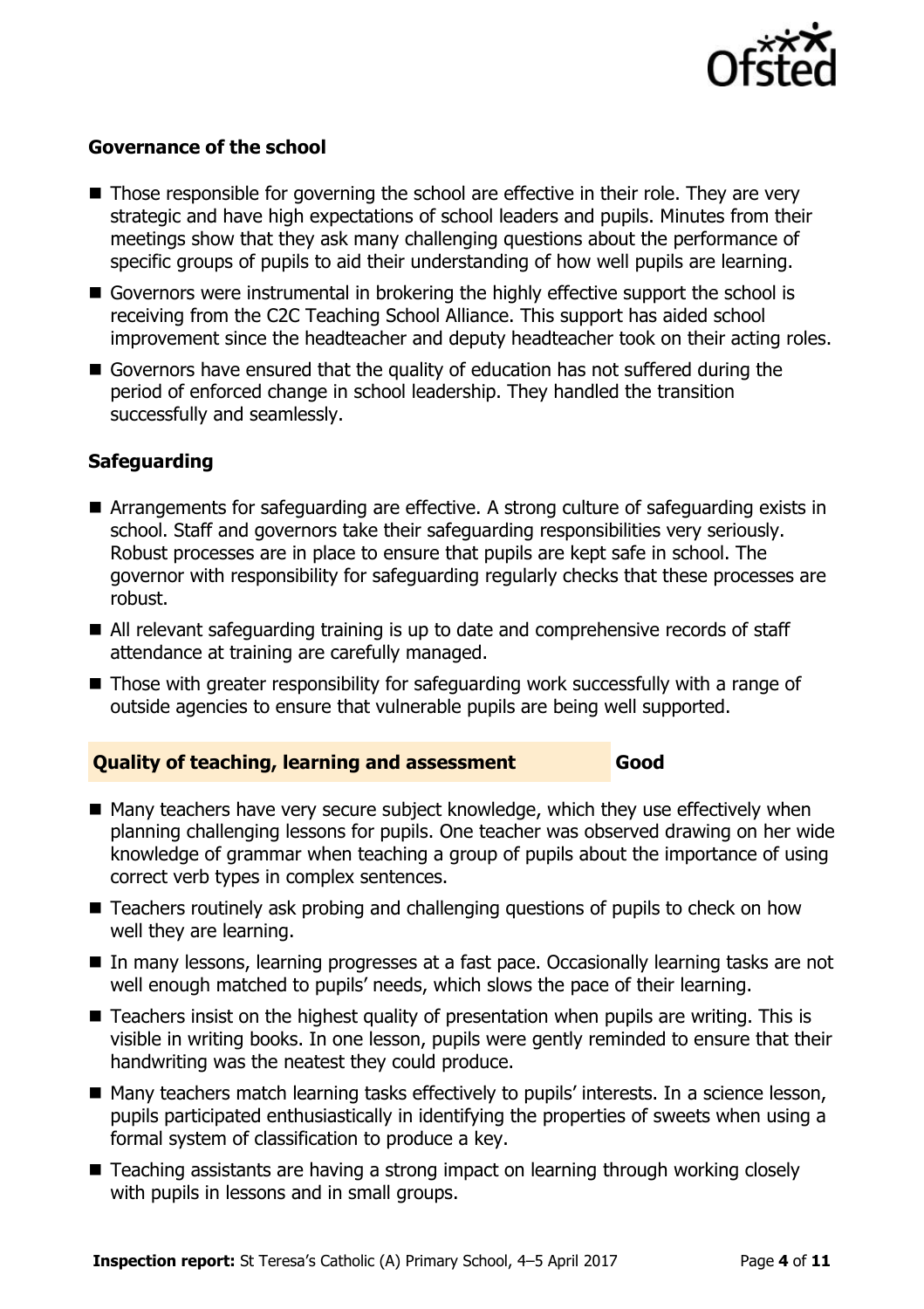

#### **Governance of the school**

- Those responsible for governing the school are effective in their role. They are very strategic and have high expectations of school leaders and pupils. Minutes from their meetings show that they ask many challenging questions about the performance of specific groups of pupils to aid their understanding of how well pupils are learning.
- Governors were instrumental in brokering the highly effective support the school is receiving from the C2C Teaching School Alliance. This support has aided school improvement since the headteacher and deputy headteacher took on their acting roles.
- Governors have ensured that the quality of education has not suffered during the period of enforced change in school leadership. They handled the transition successfully and seamlessly.

### **Safeguarding**

- Arrangements for safeguarding are effective. A strong culture of safeguarding exists in school. Staff and governors take their safeguarding responsibilities very seriously. Robust processes are in place to ensure that pupils are kept safe in school. The governor with responsibility for safeguarding regularly checks that these processes are robust.
- All relevant safeguarding training is up to date and comprehensive records of staff attendance at training are carefully managed.
- Those with greater responsibility for safeguarding work successfully with a range of outside agencies to ensure that vulnerable pupils are being well supported.

#### **Quality of teaching, learning and assessment Good**

- Many teachers have very secure subject knowledge, which they use effectively when planning challenging lessons for pupils. One teacher was observed drawing on her wide knowledge of grammar when teaching a group of pupils about the importance of using correct verb types in complex sentences.
- Teachers routinely ask probing and challenging questions of pupils to check on how well they are learning.
- In many lessons, learning progresses at a fast pace. Occasionally learning tasks are not well enough matched to pupils' needs, which slows the pace of their learning.
- Teachers insist on the highest quality of presentation when pupils are writing. This is visible in writing books. In one lesson, pupils were gently reminded to ensure that their handwriting was the neatest they could produce.
- Many teachers match learning tasks effectively to pupils' interests. In a science lesson, pupils participated enthusiastically in identifying the properties of sweets when using a formal system of classification to produce a key.
- Teaching assistants are having a strong impact on learning through working closely with pupils in lessons and in small groups.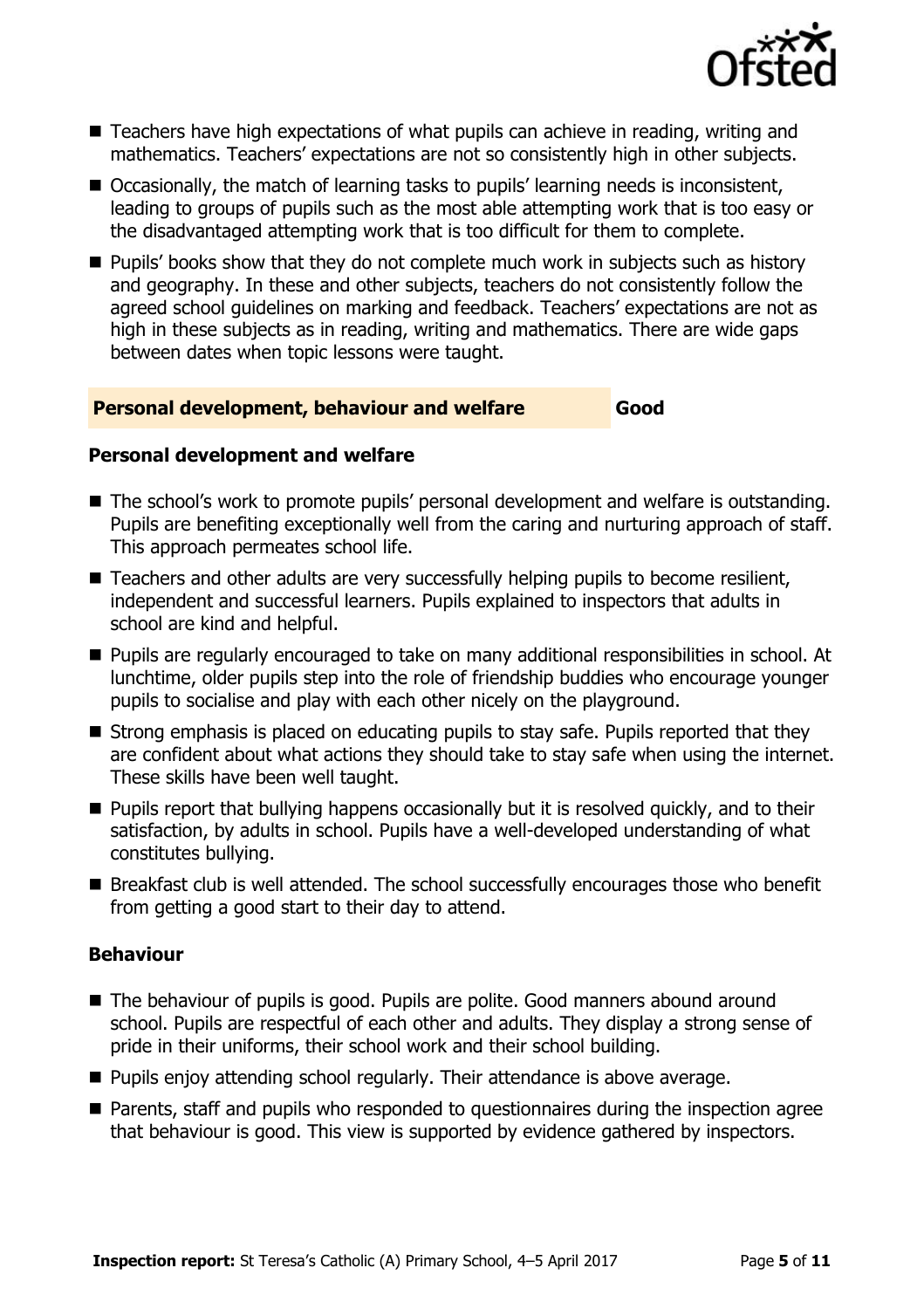

- Teachers have high expectations of what pupils can achieve in reading, writing and mathematics. Teachers' expectations are not so consistently high in other subjects.
- Occasionally, the match of learning tasks to pupils' learning needs is inconsistent, leading to groups of pupils such as the most able attempting work that is too easy or the disadvantaged attempting work that is too difficult for them to complete.
- **Pupils' books show that they do not complete much work in subjects such as history** and geography. In these and other subjects, teachers do not consistently follow the agreed school guidelines on marking and feedback. Teachers' expectations are not as high in these subjects as in reading, writing and mathematics. There are wide gaps between dates when topic lessons were taught.

#### **Personal development, behaviour and welfare Good**

#### **Personal development and welfare**

- The school's work to promote pupils' personal development and welfare is outstanding. Pupils are benefiting exceptionally well from the caring and nurturing approach of staff. This approach permeates school life.
- Teachers and other adults are very successfully helping pupils to become resilient, independent and successful learners. Pupils explained to inspectors that adults in school are kind and helpful.
- Pupils are regularly encouraged to take on many additional responsibilities in school. At lunchtime, older pupils step into the role of friendship buddies who encourage younger pupils to socialise and play with each other nicely on the playground.
- Strong emphasis is placed on educating pupils to stay safe. Pupils reported that they are confident about what actions they should take to stay safe when using the internet. These skills have been well taught.
- **Pupils report that bullying happens occasionally but it is resolved quickly, and to their** satisfaction, by adults in school. Pupils have a well-developed understanding of what constitutes bullying.
- Breakfast club is well attended. The school successfully encourages those who benefit from getting a good start to their day to attend.

#### **Behaviour**

- The behaviour of pupils is good. Pupils are polite. Good manners abound around school. Pupils are respectful of each other and adults. They display a strong sense of pride in their uniforms, their school work and their school building.
- **Pupils enjoy attending school regularly. Their attendance is above average.**
- **Parents, staff and pupils who responded to questionnaires during the inspection agree** that behaviour is good. This view is supported by evidence gathered by inspectors.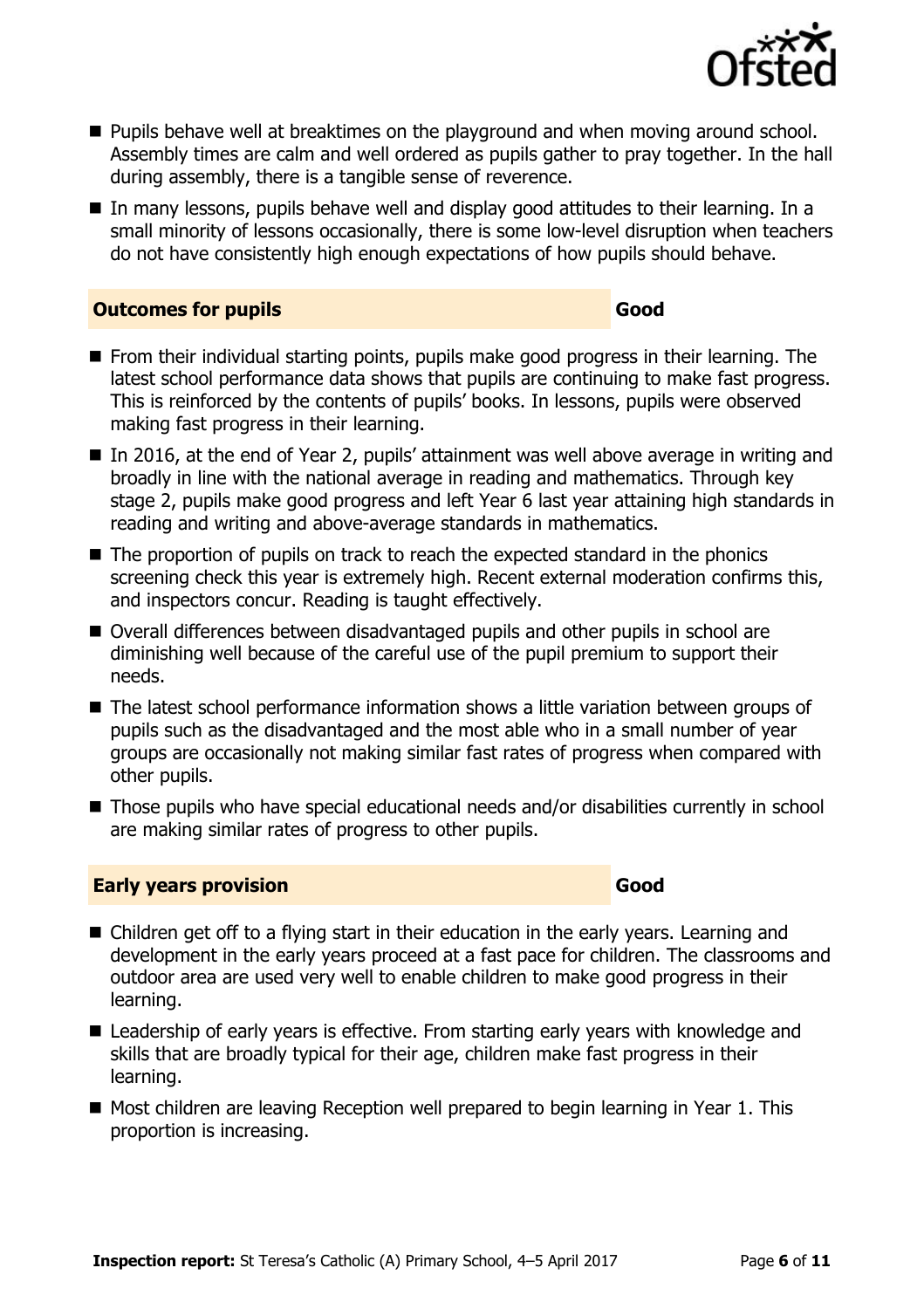

- **Pupils behave well at breaktimes on the playground and when moving around school.** Assembly times are calm and well ordered as pupils gather to pray together. In the hall during assembly, there is a tangible sense of reverence.
- In many lessons, pupils behave well and display good attitudes to their learning. In a small minority of lessons occasionally, there is some low-level disruption when teachers do not have consistently high enough expectations of how pupils should behave.

#### **Outcomes for pupils Good Good**

- **From their individual starting points, pupils make good progress in their learning. The** latest school performance data shows that pupils are continuing to make fast progress. This is reinforced by the contents of pupils' books. In lessons, pupils were observed making fast progress in their learning.
- In 2016, at the end of Year 2, pupils' attainment was well above average in writing and broadly in line with the national average in reading and mathematics. Through key stage 2, pupils make good progress and left Year 6 last year attaining high standards in reading and writing and above-average standards in mathematics.
- The proportion of pupils on track to reach the expected standard in the phonics screening check this year is extremely high. Recent external moderation confirms this, and inspectors concur. Reading is taught effectively.
- Overall differences between disadvantaged pupils and other pupils in school are diminishing well because of the careful use of the pupil premium to support their needs.
- The latest school performance information shows a little variation between groups of pupils such as the disadvantaged and the most able who in a small number of year groups are occasionally not making similar fast rates of progress when compared with other pupils.
- Those pupils who have special educational needs and/or disabilities currently in school are making similar rates of progress to other pupils.

#### **Early years provision Good Good**

- Children get off to a flying start in their education in the early years. Learning and development in the early years proceed at a fast pace for children. The classrooms and outdoor area are used very well to enable children to make good progress in their learning.
- Leadership of early years is effective. From starting early years with knowledge and skills that are broadly typical for their age, children make fast progress in their learning.
- Most children are leaving Reception well prepared to begin learning in Year 1. This proportion is increasing.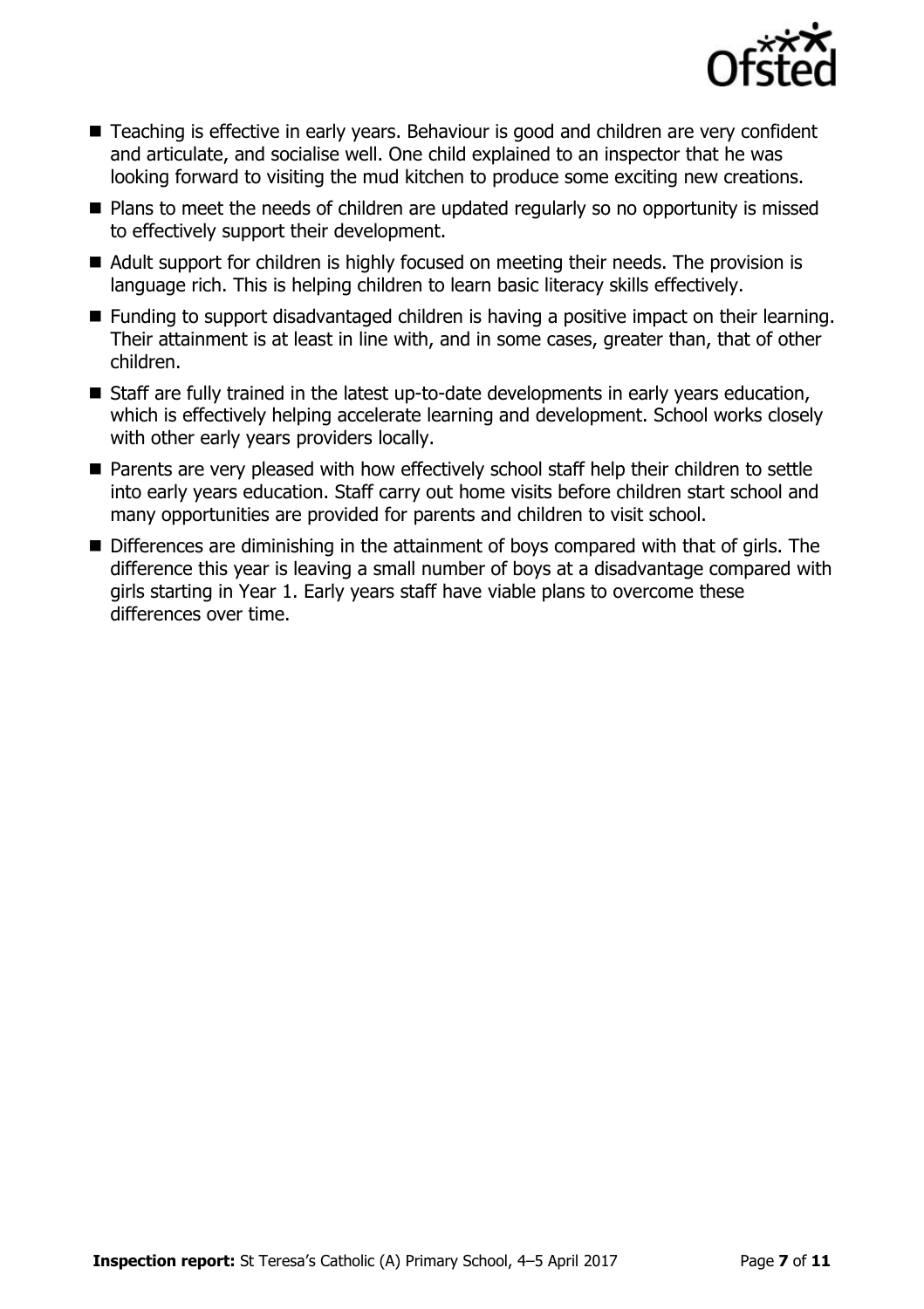

- Teaching is effective in early years. Behaviour is good and children are very confident and articulate, and socialise well. One child explained to an inspector that he was looking forward to visiting the mud kitchen to produce some exciting new creations.
- Plans to meet the needs of children are updated regularly so no opportunity is missed to effectively support their development.
- Adult support for children is highly focused on meeting their needs. The provision is language rich. This is helping children to learn basic literacy skills effectively.
- Funding to support disadvantaged children is having a positive impact on their learning. Their attainment is at least in line with, and in some cases, greater than, that of other children.
- Staff are fully trained in the latest up-to-date developments in early years education, which is effectively helping accelerate learning and development. School works closely with other early years providers locally.
- Parents are very pleased with how effectively school staff help their children to settle into early years education. Staff carry out home visits before children start school and many opportunities are provided for parents and children to visit school.
- Differences are diminishing in the attainment of boys compared with that of girls. The difference this year is leaving a small number of boys at a disadvantage compared with girls starting in Year 1. Early years staff have viable plans to overcome these differences over time.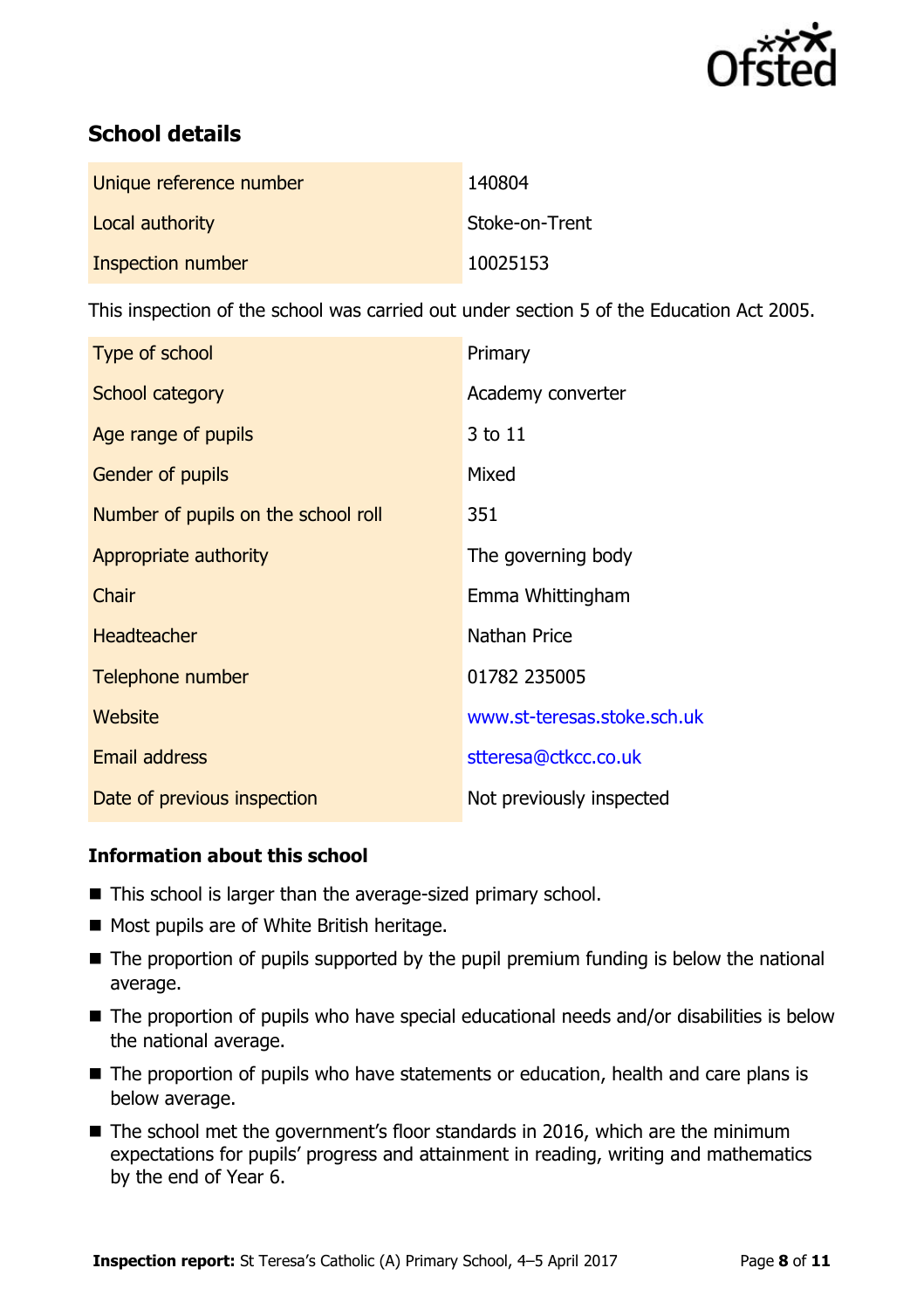

# **School details**

| Unique reference number | 140804         |
|-------------------------|----------------|
| Local authority         | Stoke-on-Trent |
| Inspection number       | 10025153       |

This inspection of the school was carried out under section 5 of the Education Act 2005.

| Type of school                      | Primary                     |
|-------------------------------------|-----------------------------|
| School category                     | Academy converter           |
| Age range of pupils                 | 3 to 11                     |
| Gender of pupils                    | Mixed                       |
| Number of pupils on the school roll | 351                         |
| Appropriate authority               | The governing body          |
| Chair                               | Emma Whittingham            |
| <b>Headteacher</b>                  | Nathan Price                |
| Telephone number                    | 01782 235005                |
| Website                             | www.st-teresas.stoke.sch.uk |
| <b>Email address</b>                | stteresa@ctkcc.co.uk        |
| Date of previous inspection         | Not previously inspected    |

#### **Information about this school**

- This school is larger than the average-sized primary school.
- Most pupils are of White British heritage.
- $\blacksquare$  The proportion of pupils supported by the pupil premium funding is below the national average.
- The proportion of pupils who have special educational needs and/or disabilities is below the national average.
- The proportion of pupils who have statements or education, health and care plans is below average.
- The school met the government's floor standards in 2016, which are the minimum expectations for pupils' progress and attainment in reading, writing and mathematics by the end of Year 6.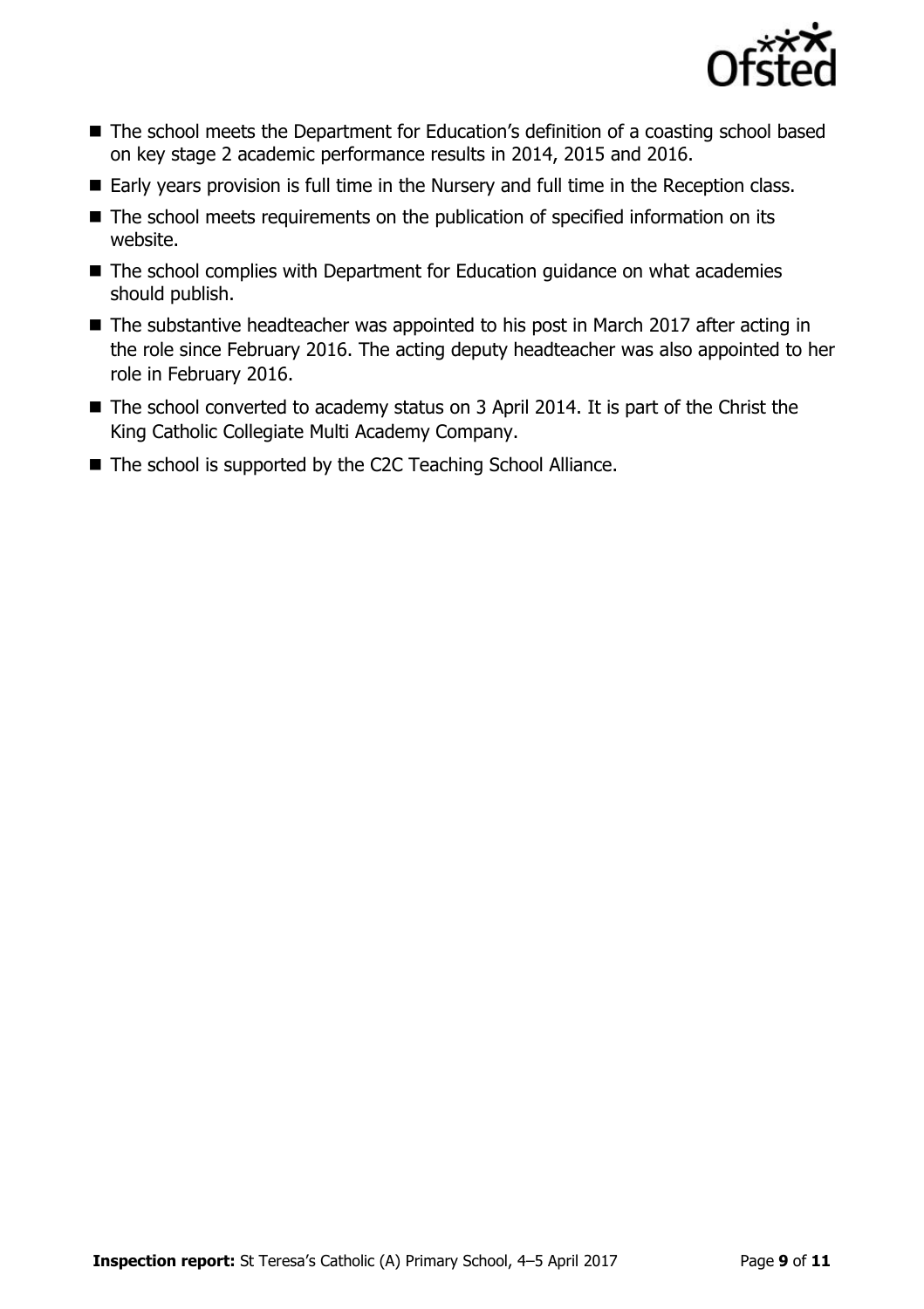

- The school meets the Department for Education's definition of a coasting school based on key stage 2 academic performance results in 2014, 2015 and 2016.
- Early years provision is full time in the Nursery and full time in the Reception class.
- The school meets requirements on the publication of specified information on its website.
- The school complies with Department for Education guidance on what academies should publish.
- The substantive headteacher was appointed to his post in March 2017 after acting in the role since February 2016. The acting deputy headteacher was also appointed to her role in February 2016.
- The school converted to academy status on 3 April 2014. It is part of the Christ the King Catholic Collegiate Multi Academy Company.
- The school is supported by the C2C Teaching School Alliance.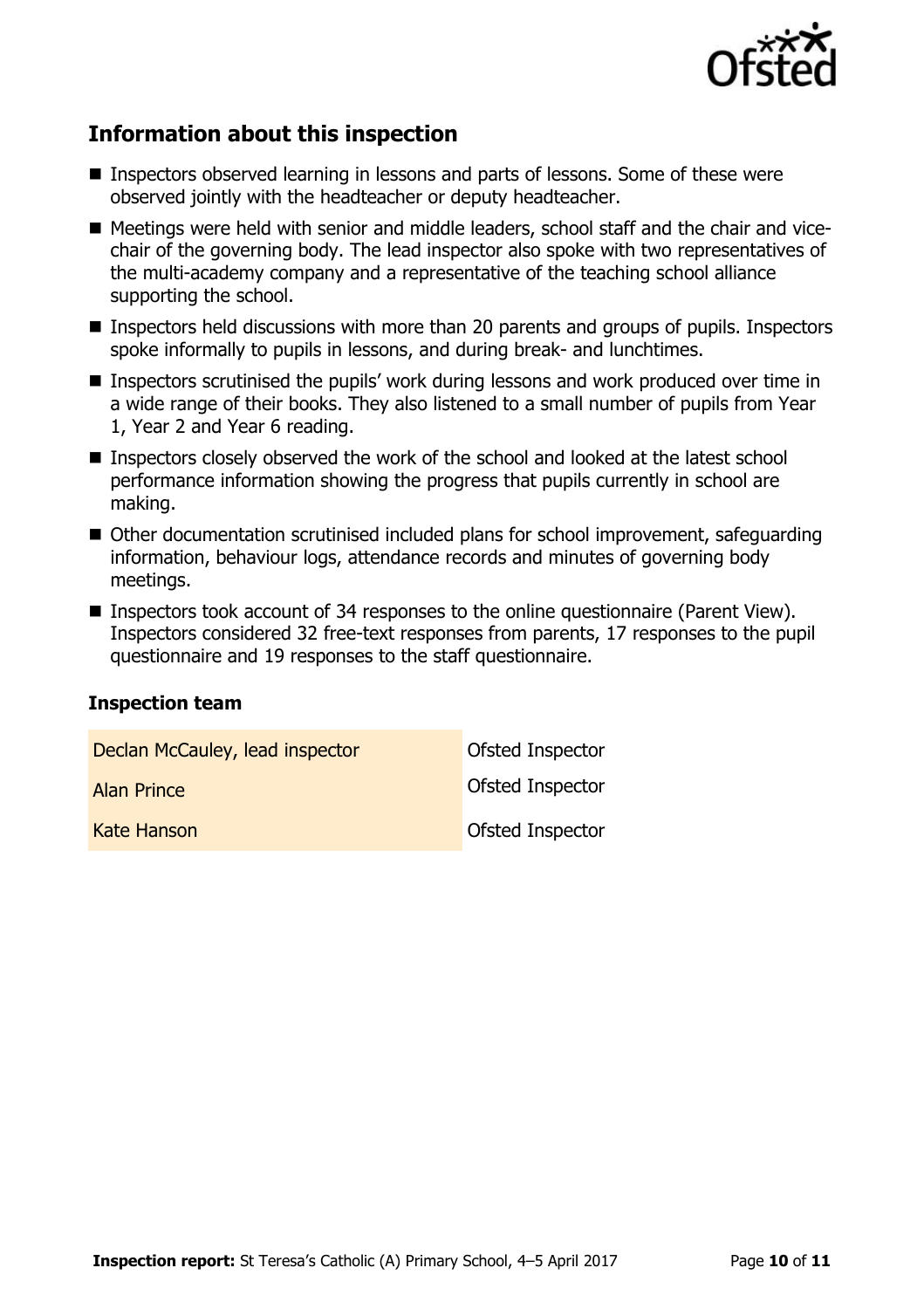

# **Information about this inspection**

- Inspectors observed learning in lessons and parts of lessons. Some of these were observed jointly with the headteacher or deputy headteacher.
- Meetings were held with senior and middle leaders, school staff and the chair and vicechair of the governing body. The lead inspector also spoke with two representatives of the multi-academy company and a representative of the teaching school alliance supporting the school.
- Inspectors held discussions with more than 20 parents and groups of pupils. Inspectors spoke informally to pupils in lessons, and during break- and lunchtimes.
- Inspectors scrutinised the pupils' work during lessons and work produced over time in a wide range of their books. They also listened to a small number of pupils from Year 1, Year 2 and Year 6 reading.
- Inspectors closely observed the work of the school and looked at the latest school performance information showing the progress that pupils currently in school are making.
- Other documentation scrutinised included plans for school improvement, safequarding information, behaviour logs, attendance records and minutes of governing body meetings.
- Inspectors took account of 34 responses to the online questionnaire (Parent View). Inspectors considered 32 free-text responses from parents, 17 responses to the pupil questionnaire and 19 responses to the staff questionnaire.

#### **Inspection team**

| Declan McCauley, lead inspector | <b>Ofsted Inspector</b> |
|---------------------------------|-------------------------|
| <b>Alan Prince</b>              | <b>Ofsted Inspector</b> |
| Kate Hanson                     | <b>Ofsted Inspector</b> |